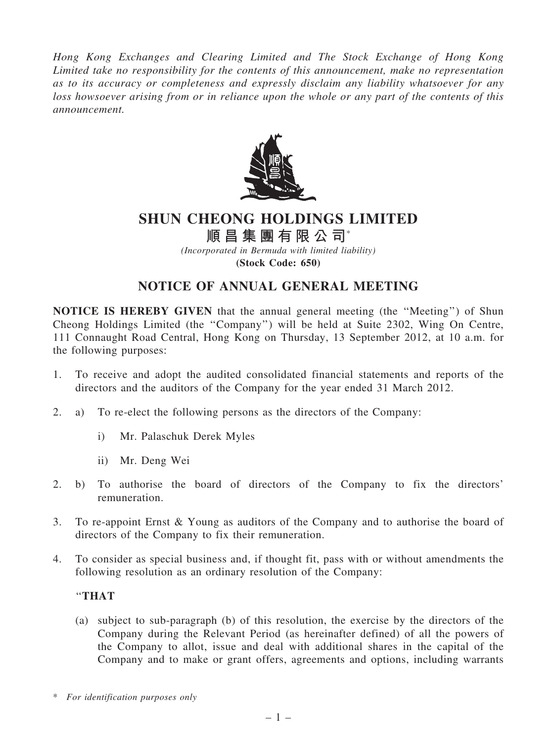*Hong Kong Exchanges and Clearing Limited and The Stock Exchange of Hong Kong Limited take no responsibility for the contents of this announcement, make no representation as to its accuracy or completeness and expressly disclaim any liability whatsoever for any loss howsoever arising from or in reliance upon the whole or any part of the contents of this announcement.*



## SHUN CHEONG HOLDINGS LIMITED

# 順昌集團有限公司\*

*(Incorporated in Bermuda with limited liability)* (Stock Code: 650)

### NOTICE OF ANNUAL GENERAL MEETING

NOTICE IS HEREBY GIVEN that the annual general meeting (the ''Meeting'') of Shun Cheong Holdings Limited (the ''Company'') will be held at Suite 2302, Wing On Centre, 111 Connaught Road Central, Hong Kong on Thursday, 13 September 2012, at 10 a.m. for the following purposes:

- 1. To receive and adopt the audited consolidated financial statements and reports of the directors and the auditors of the Company for the year ended 31 March 2012.
- 2. a) To re-elect the following persons as the directors of the Company:
	- i) Mr. Palaschuk Derek Myles
	- ii) Mr. Deng Wei
- 2. b) To authorise the board of directors of the Company to fix the directors' remuneration.
- 3. To re-appoint Ernst & Young as auditors of the Company and to authorise the board of directors of the Company to fix their remuneration.
- 4. To consider as special business and, if thought fit, pass with or without amendments the following resolution as an ordinary resolution of the Company:

#### ''THAT

(a) subject to sub-paragraph (b) of this resolution, the exercise by the directors of the Company during the Relevant Period (as hereinafter defined) of all the powers of the Company to allot, issue and deal with additional shares in the capital of the Company and to make or grant offers, agreements and options, including warrants

<sup>\*</sup> *For identification purposes only*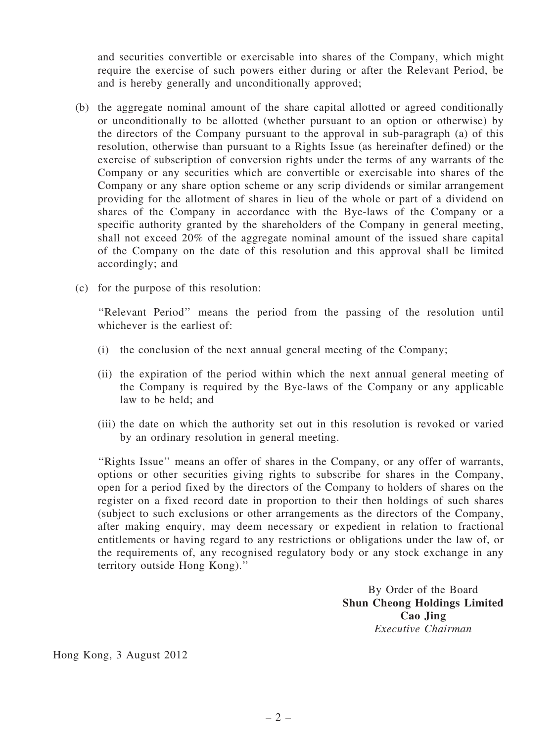and securities convertible or exercisable into shares of the Company, which might require the exercise of such powers either during or after the Relevant Period, be and is hereby generally and unconditionally approved;

- (b) the aggregate nominal amount of the share capital allotted or agreed conditionally or unconditionally to be allotted (whether pursuant to an option or otherwise) by the directors of the Company pursuant to the approval in sub-paragraph (a) of this resolution, otherwise than pursuant to a Rights Issue (as hereinafter defined) or the exercise of subscription of conversion rights under the terms of any warrants of the Company or any securities which are convertible or exercisable into shares of the Company or any share option scheme or any scrip dividends or similar arrangement providing for the allotment of shares in lieu of the whole or part of a dividend on shares of the Company in accordance with the Bye-laws of the Company or a specific authority granted by the shareholders of the Company in general meeting, shall not exceed 20% of the aggregate nominal amount of the issued share capital of the Company on the date of this resolution and this approval shall be limited accordingly; and
- (c) for the purpose of this resolution:

''Relevant Period'' means the period from the passing of the resolution until whichever is the earliest of:

- (i) the conclusion of the next annual general meeting of the Company;
- (ii) the expiration of the period within which the next annual general meeting of the Company is required by the Bye-laws of the Company or any applicable law to be held; and
- (iii) the date on which the authority set out in this resolution is revoked or varied by an ordinary resolution in general meeting.

''Rights Issue'' means an offer of shares in the Company, or any offer of warrants, options or other securities giving rights to subscribe for shares in the Company, open for a period fixed by the directors of the Company to holders of shares on the register on a fixed record date in proportion to their then holdings of such shares (subject to such exclusions or other arrangements as the directors of the Company, after making enquiry, may deem necessary or expedient in relation to fractional entitlements or having regard to any restrictions or obligations under the law of, or the requirements of, any recognised regulatory body or any stock exchange in any territory outside Hong Kong).''

> By Order of the Board Shun Cheong Holdings Limited Cao Jing *Executive Chairman*

Hong Kong, 3 August 2012